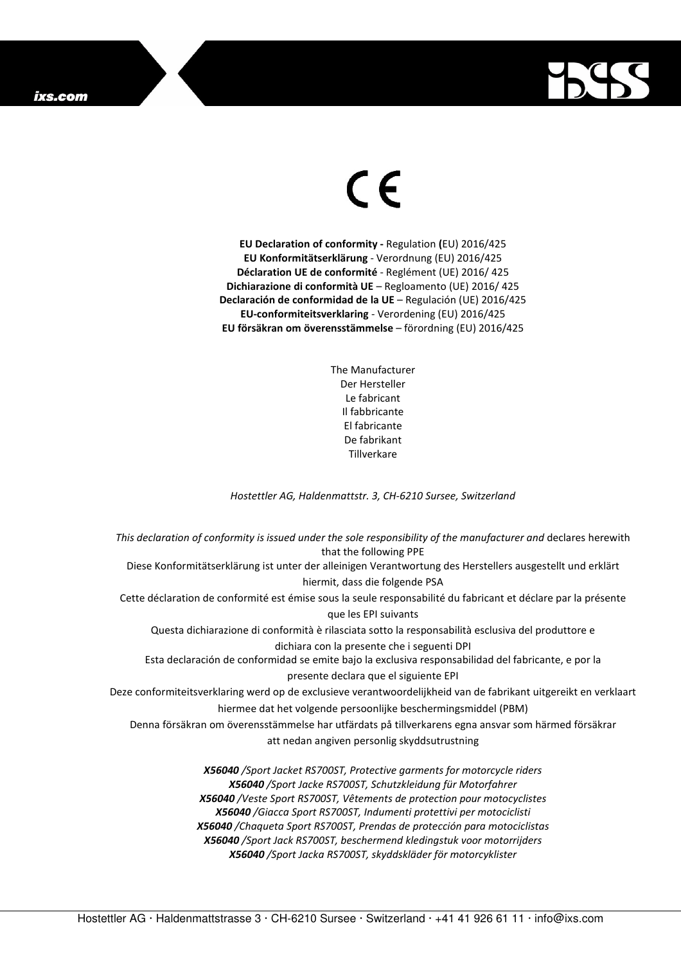## ixs.com



## $\in$

**EU Declaration of conformity -** Regulation **(**EU) 2016/425 **EU Konformitätserklärung** - Verordnung (EU) 2016/425 **Déclaration UE de conformité** - Reglément (UE) 2016/ 425 **Dichiarazione di conformità UE** – Regloamento (UE) 2016/ 425 **Declaración de conformidad de la UE** – Regulación (UE) 2016/425 **EU-conformiteitsverklaring** - Verordening (EU) 2016/425 **EU försäkran om överensstämmelse** – förordning (EU) 2016/425

> The Manufacturer Der Hersteller Le fabricant Il fabbricante El fabricante De fabrikant **Tillverkare**

*Hostettler AG, Haldenmattstr. 3, CH-6210 Sursee, Switzerland* 

*This declaration of conformity is issued under the sole responsibility of the manufacturer and* declares herewith that the following PPE Diese Konformitätserklärung ist unter der alleinigen Verantwortung des Herstellers ausgestellt und erklärt hiermit, dass die folgende PSA Cette déclaration de conformité est émise sous la seule responsabilité du fabricant et déclare par la présente que les EPI suivants Questa dichiarazione di conformità è rilasciata sotto la responsabilità esclusiva del produttore e dichiara con la presente che i seguenti DPI Esta declaración de conformidad se emite bajo la exclusiva responsabilidad del fabricante, e por la presente declara que el siguiente EPI Deze conformiteitsverklaring werd op de exclusieve verantwoordelijkheid van de fabrikant uitgereikt en verklaart hiermee dat het volgende persoonlijke beschermingsmiddel (PBM) Denna försäkran om överensstämmelse har utfärdats på tillverkarens egna ansvar som härmed försäkrar att nedan angiven personlig skyddsutrustning *X56040 /Sport Jacket RS700ST, Protective garments for motorcycle riders X56040 /Sport Jacke RS700ST, Schutzkleidung für Motorfahrer X56040 /Veste Sport RS700ST, Vêtements de protection pour motocyclistes X56040 /Giacca Sport RS700ST, Indumenti protettivi per motociclisti X56040 /Chaqueta Sport RS700ST, Prendas de protección para motociclistas* 

> *X56040 /Sport Jack RS700ST, beschermend kledingstuk voor motorrijders X56040 /Sport Jacka RS700ST, skyddskläder för motorcyklister*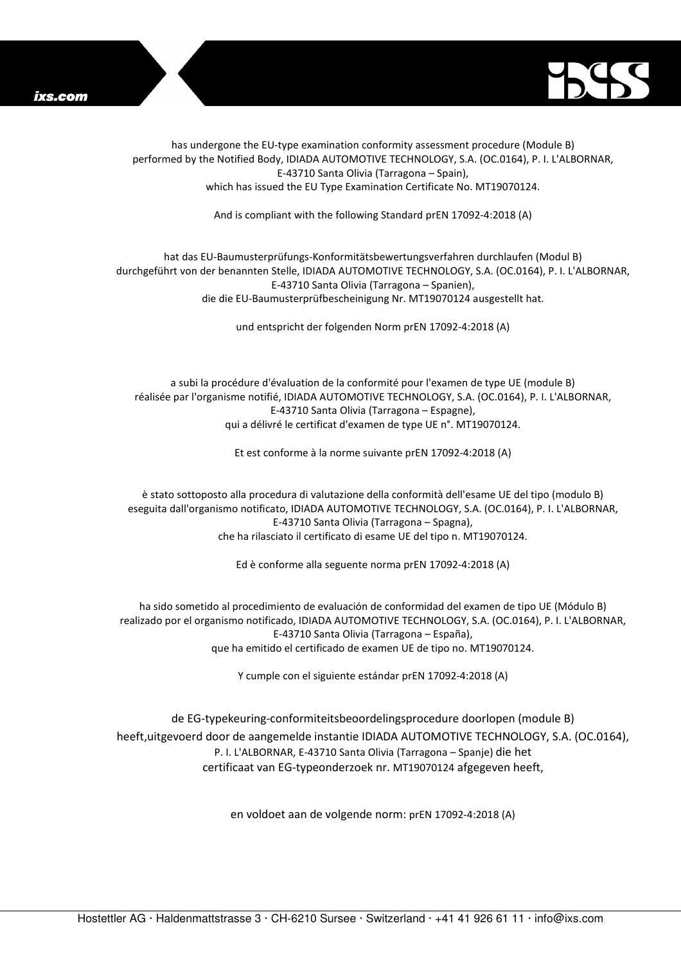



has undergone the EU-type examination conformity assessment procedure (Module B) performed by the Notified Body, IDIADA AUTOMOTIVE TECHNOLOGY, S.A. (OC.0164), P. I. L'ALBORNAR, E-43710 Santa Olivia (Tarragona – Spain), which has issued the EU Type Examination Certificate No. MT19070124.

And is compliant with the following Standard prEN 17092-4:2018 (A)

## hat das EU-Baumusterprüfungs-Konformitätsbewertungsverfahren durchlaufen (Modul B) durchgeführt von der benannten Stelle, IDIADA AUTOMOTIVE TECHNOLOGY, S.A. (OC.0164), P. I. L'ALBORNAR, E-43710 Santa Olivia (Tarragona – Spanien), die die EU-Baumusterprüfbescheinigung Nr. MT19070124 ausgestellt hat.

und entspricht der folgenden Norm prEN 17092-4:2018 (A)

a subi la procédure d'évaluation de la conformité pour l'examen de type UE (module B) réalisée par l'organisme notifié, IDIADA AUTOMOTIVE TECHNOLOGY, S.A. (OC.0164), P. I. L'ALBORNAR, E-43710 Santa Olivia (Tarragona – Espagne), qui a délivré le certificat d'examen de type UE n°. MT19070124.

Et est conforme à la norme suivante prEN 17092-4:2018 (A)

è stato sottoposto alla procedura di valutazione della conformità dell'esame UE del tipo (modulo B) eseguita dall'organismo notificato, IDIADA AUTOMOTIVE TECHNOLOGY, S.A. (OC.0164), P. I. L'ALBORNAR, E-43710 Santa Olivia (Tarragona – Spagna), che ha rilasciato il certificato di esame UE del tipo n. MT19070124.

Ed è conforme alla seguente norma prEN 17092-4:2018 (A)

ha sido sometido al procedimiento de evaluación de conformidad del examen de tipo UE (Módulo B) realizado por el organismo notificado, IDIADA AUTOMOTIVE TECHNOLOGY, S.A. (OC.0164), P. I. L'ALBORNAR, E-43710 Santa Olivia (Tarragona – España), que ha emitido el certificado de examen UE de tipo no. MT19070124.

Y cumple con el siguiente estándar prEN 17092-4:2018 (A)

de EG-typekeuring-conformiteitsbeoordelingsprocedure doorlopen (module B) heeft,uitgevoerd door de aangemelde instantie IDIADA AUTOMOTIVE TECHNOLOGY, S.A. (OC.0164), P. I. L'ALBORNAR, E-43710 Santa Olivia (Tarragona – Spanje) die het certificaat van EG-typeonderzoek nr. MT19070124 afgegeven heeft,

en voldoet aan de volgende norm: prEN 17092-4:2018 (A)